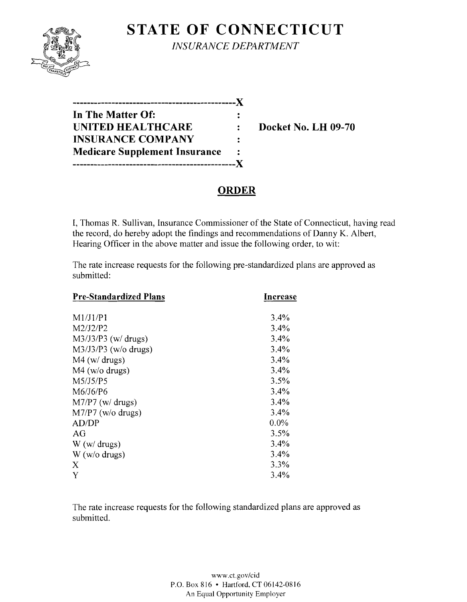

**STATE OF CONNECTICUT** 

*INSURANCE DEPARTMENT* 

| In The Matter Of:                    |  |
|--------------------------------------|--|
| <b>UNITED HEALTHCARE</b>             |  |
| <b>INSURANCE COMPANY</b>             |  |
| <b>Medicare Supplement Insurance</b> |  |
| -------------                        |  |

**Docket No. LH 09-70** 

## **ORDER**

I, Thomas R. Sullivan, Insurance Commissioner of the State of Connecticut, having read the record, do hereby adopt the findings and recommendations of Danny K. Albert, Hearing Officer in the above matter and issue the following order, to wit:

The rate increase requests for the following pre-standardized plans are approved as submitted:

| <b>Pre-Standardized Plans</b> | Increase |  |
|-------------------------------|----------|--|
| M1/J1/P1                      | 3.4%     |  |
| M2/J2/P2                      | 3.4%     |  |
| $M3/J3/P3$ (w/drugs)          | 3.4%     |  |
| $M3/J3/P3$ (w/o drugs)        | 3.4%     |  |
| $M4$ (w/ drugs)               | 3.4%     |  |
| $M4$ (w/o drugs)              | 3.4%     |  |
| M5/J5/P5                      | 3.5%     |  |
| M6/J6/P6                      | 3.4%     |  |
| $M7/P7$ (w/ drugs)            | 3.4%     |  |
| $M7/P7$ (w/o drugs)           | 3.4%     |  |
| AD/DP                         | $0.0\%$  |  |
| AG                            | 3.5%     |  |
| W(w/drugs)                    | 3.4%     |  |
| $W$ (w/o drugs)               | 3.4%     |  |
| X                             | 3.3%     |  |
| Y                             | 3.4%     |  |

The rate increase requests for the following standardized plans are approved as submitted.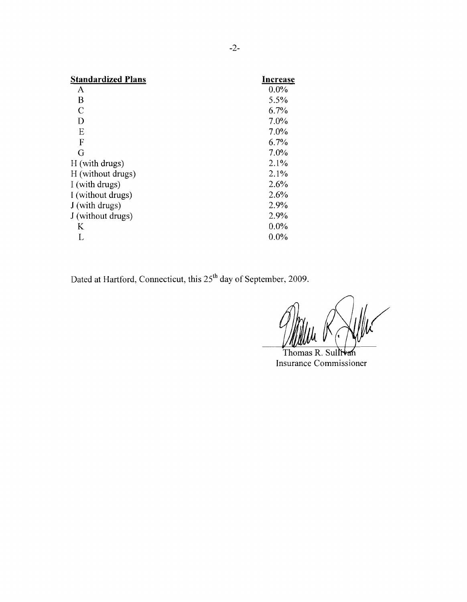| Increase |
|----------|
| 0.0%     |
| 5.5%     |
| 6.7%     |
| 7.0%     |
| 7.0%     |
| 6.7%     |
| 7.0%     |
| 2.1%     |
| 2.1%     |
| 2.6%     |
| 2.6%     |
| 2.9%     |
| 2.9%     |
| 0.0%     |
| $0.0\%$  |
|          |

Dated at Hartford, Connecticut, this 25<sup>th</sup> day of September, 2009.

Thomas R. Sullivan Insurance Commissioner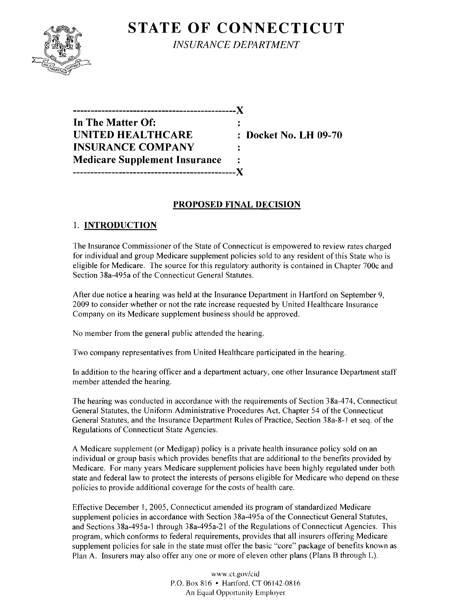

# **STATE OF CONNECTICUT** *INSURANCE DEPARTMENT*

**In The Matter Of: UNITED HEALTHCARE** : Docket No. LH 09-70 **INSURANCE COMPANY Medicare Supplement Insurance**   $\ddot{\cdot}$ **----------------------------------------------)(** 

**----------------------------------------------)(** 

### **PROPOSED FINAL DECISION**

 $\ddot{\cdot}$ 

### 1. **INTRODUCTION**

The Insurance Commissioner of the State of Connecticut is empowered to review rates charged for individual and group Medicare supplement policies sold to any resident of this State who is eligible for Medicare. The source for this regulatory authority is contained in Chapter 700c and Section 38a-495a of the Connecticut General Statutes.

After due notice a hearing was held at the Insurance Department in Hartford on September 9, 2009 to consider whether or not the rate increase requested by United Healthcare Insurance Company on its Medicare supplement business should be approved.

No member from the general public attended the hearing.

Two company representatives from United Healthcare participated in the hearing.

In addition to the hearing officer and a department actuary, one other Insurance Department staff member attended the hearing.

The hearing was conducted in accordance with the requirements of Section 38a-474, Connecticut General Statutes, the Uniform Administrative Procedures Act, Chapter 54 of the Connecticut General Statutes, and the Insurance Department Rules of Practice, Section 38a-8-1 et seq. of the Regulations of Connecticut State Agencies.

A Medicare supplement (or Medigap) policy is a private health insurance policy sold on an individual or group basis which provides benefits that are additional to the benefits provided by Medicare. For many years Medicare supplement policies have been highly regulated under both state and federal law to protect the interests of persons eligible for Medicare who depend on these policies to provide additional coverage for the costs of health care.

Effective December 1,2005, Connecticut amended its program of standardized Medicare supplement policies in accordance with Section 38a-495a of the Connecticut General Statutes, and Sections 38a-495a-l through 38a-495a-21 of the Regulations of Connecticut Agencies. This program, which conforms to federal requirements, provides that all insurers offering Medicare supplement policies for sale in the state must offer the basic "core" package of benefits known as Plan A. Insurers may also offer any one or more of eleven other plans (Plans B through L).

> www.cLgov/cid P.O. Box 816 • Hartford. CT 06142-0816 An Equal Opportunity Employer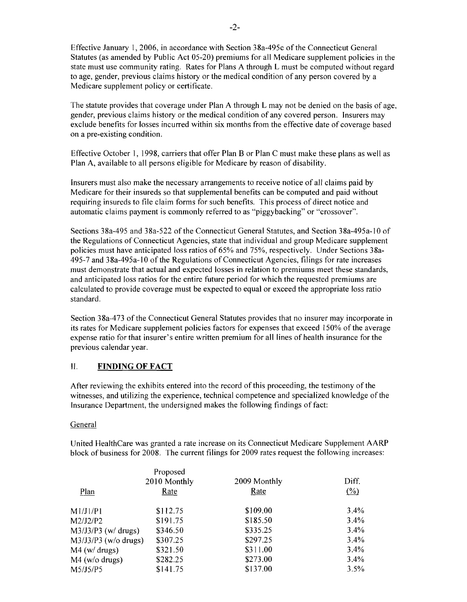Effective January 1,2006, in accordance with Section 38a-495c ofthe Connecticut General Statutes (as amended by Public Act 05-20) premiums for all Medicare supplement policies in the state must use community rating. Rates for Plans A through L must be computed without regard to age, gender, previous claims history or the medical condition of any person covered by a Medicare supplement policy or certificate.

The statute provides that coverage under Plan A through L may not be denied on the basis of age, gender, previous claims history or the medical condition of any covered person. Insurers may exclude benefits for losses incurred within six months from the effective date of coverage based on a pre-existing condition.

Effective October I, 1998, carriers that offer Plan B or Plan C must make these plans as well as Plan A, available to all persons eligible for Medicare by reason of disability.

Insurers must also make the necessary arrangements to receive notice of all claims paid by Medicare for their insureds so that supplemental benefits can be computed and paid without requiring insureds to file claim forms for such benefits. This process of direct notice and automatic claims payment is commonly referred to as "piggybacking" or "crossover".

Sections 38a-495 and 38a-522 of the Connecticut General Statutes, and Section 38a-495a-IO of the Regulations of Connecticut Agencies, state that individual and group Medicare supplement policies must have anticipated loss ratios of 65% and 75%, respectively. Under Sections 38a-495-7 and 38a-495a-IO ofthe Regulations of Connecticut Agencies, filings for rate increases must demonstrate that actual and expected losses in relation to premiums meet these standards, and anticipated loss ratios for the entire future period for which the requested premiums are calculated to provide coverage must be expected to equal or exceed the appropriate loss ratio standard.

Section 38a-473 of the Connecticut General Statutes provides that no insurer may incorporate in its rates for Medicare supplement policies factors for expenses that exceed 150% ofthe average expense ratio for that insurer's entire written premium for all lines of health insurance for the previous calendar year.

### **II. FINDING OF FACT**

After reviewing the exhibits entered into the record of this proceeding, the testimony of the witnesses, and utilizing the experience, technical competence and specialized knowledge ofthe Insurance Department, the undersigned makes the following findings of fact:

#### General

United HeaJthCare was granted a rate increase on its Connecticut Medicare Supplement AARP block of business for 2008. The current filings for 2009 rates request the following increases:

|                        | Proposed     |              |         |
|------------------------|--------------|--------------|---------|
|                        | 2010 Monthly | 2009 Monthly | Diff.   |
| Plan                   | Rate         | Rate         | $($ %)  |
| M1/J1/P1               | \$112.75     | \$109.00     | 3.4%    |
| M2/J2/P2               | \$191.75     | \$185.50     | 3.4%    |
| $M3/J3/P3$ (w/ drugs)  | \$346.50     | \$335.25     | 3.4%    |
| $M3/J3/P3$ (w/o drugs) | \$307.25     | \$297.25     | $3.4\%$ |
| $M4$ (w/ drugs)        | \$321.50     | \$311.00     | 3.4%    |
| $M4$ (w/o drugs)       | \$282.25     | \$273.00     | 3.4%    |
| M5/J5/P5               | \$141.75     | \$137.00     | 3.5%    |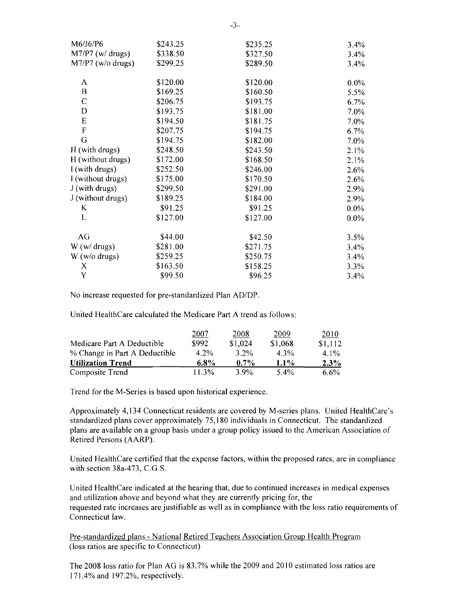| M6/J6/P6            | \$243.25 | \$235.25 | 3.4%    |
|---------------------|----------|----------|---------|
| $M7/P7$ (w/ drugs)  | \$338.50 | \$327.50 | 3.4%    |
| $M7/P7$ (w/o drugs) | \$299.25 | \$289.50 | 3.4%    |
| A                   | \$120.00 | \$120.00 | $0.0\%$ |
| B                   | \$169.25 | \$160.50 | 5.5%    |
| $\mathcal{C}$       | \$206.75 | \$193.75 | 6.7%    |
| D                   | \$193.75 | \$181.00 | 7.0%    |
| E                   | \$194.50 | \$181.75 | 7.0%    |
| F                   | \$207.75 | \$194.75 | 6.7%    |
| G                   | \$194.75 | \$182.00 | 7.0%    |
| H (with drugs)      | \$248.50 | \$243.50 | 2.1%    |
| H (without drugs)   | \$172.00 | \$168.50 | 2.1%    |
| I (with drugs)      | \$252.50 | \$246.00 | 2.6%    |
| I (without drugs)   | \$175.00 | \$170.50 | 2.6%    |
| J (with drugs)      | \$299.50 | \$291.00 | 2.9%    |
| J (without drugs)   | \$189.25 | \$184.00 | 2.9%    |
| K                   | \$91.25  | \$91.25  | $0.0\%$ |
| L                   | \$127.00 | \$127.00 | $0.0\%$ |
| AG                  | \$44.00  | \$42.50  | 3.5%    |
| W (w/ drugs)        | \$281.00 | \$271.75 | 3.4%    |
| $W$ (w/o drugs)     | \$259.25 | \$250.75 | 3.4%    |
| X                   | \$163.50 | \$158.25 | 3.3%    |
| Y                   | \$99.50  | \$96.25  | 3.4%    |

No increase requested for pre-standardized Plan *AD/DP.* 

United HealthCare calculated the Medicare Part A trend as follows:

|                               | 2007     | 2008    | 2009    | 2010    |
|-------------------------------|----------|---------|---------|---------|
| Medicare Part A Deductible    | \$992    | \$1,024 | \$1,068 | \$1,112 |
| % Change in Part A Deductible | $4.2\%$  | $3.2\%$ | 4.3%    | $4.1\%$ |
| <b>Utilization Trend</b>      | $6.8\%$  | $0.7\%$ | $1.1\%$ | $2.3\%$ |
| Composite Trend               | $11.3\%$ | $3.9\%$ | $5.4\%$ | $6.6\%$ |

Trend for the M-Series is based upon historical experience.

Approximately 4,134 Connecticut residents are covered by M-series plans. United HealthCare's standardized plans cover approximately 75,180 individuals in Connecticut. The standardized plans are available on a group basis under a group policy issued to the American Association of Retired Persons (AARP).

United HealthCare certified that the expense factors, within the proposed rates, are in compliance with section  $38a-473$ , C.G.S.

United HealthCare indicated at the hearing that, due to continued increases in medical expenses and utilization above and beyond what they are currently pricing for, the requested rate increases are justifiable as well as in compliance with the loss ratio requirements of Connecticut law.

Pre-standardized plans - National Retired Teachers Association Group Health Program (loss ratios are specific to Connecticut)

The 2008 loss ratio for Plan AG is 83.7% while the 2009 and 20 I0 estimated loss ratios are 171.4% and 197.2%, respectively.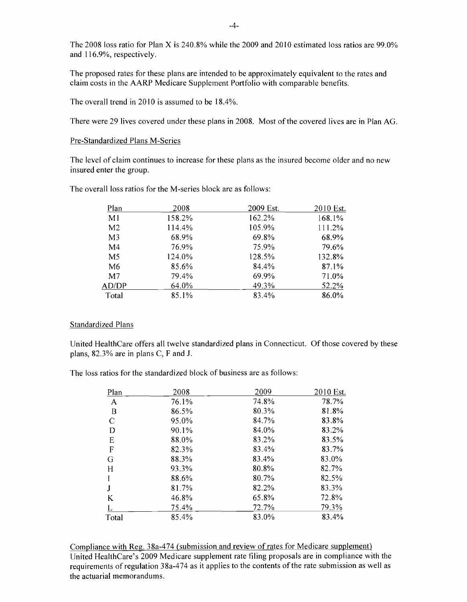The 2008 loss ratio for Plan X is 240.8% while the 2009 and 2010 estimated loss ratios are  $99.0\%$ and 116.9%, respectively.

The proposed rates for these plans are intended to be approximately equivalent to the rates and claim costs in the AARP Medicare Supplement Portfolio with comparable benefits.

The overall trend in 2010 is assumed to be 18.4%.

There were 29 lives covered under these plans in 2008. Most of the covered lives are in Plan AG.

#### Pre-Standardized Plans M-Series

The level of claim continues to increase for these plans as the insured become older and no new insured enter the group.

| Plan           | 2008   | 2009 Est. | 2010 Est. |
|----------------|--------|-----------|-----------|
| M1             | 158.2% | 162.2%    | 168.1%    |
| M <sub>2</sub> | 114.4% | 105.9%    | 111.2%    |
| M <sub>3</sub> | 68.9%  | 69.8%     | 68.9%     |
| M4             | 76.9%  | 75.9%     | 79.6%     |
| M <sub>5</sub> | 124.0% | 128.5%    | 132.8%    |
| M6             | 85.6%  | 84.4%     | 87.1%     |
| M <sub>7</sub> | 79.4%  | 69.9%     | 71.0%     |
| AD/DP          | 64.0%  | 49.3%     | 52.2%     |
| Total          | 85.1%  | 83.4%     | 86.0%     |

The overall loss ratios for the M-series block are as follows:

#### Standardized Plans

United HealthCare offers all twelve standardized plans in Connecticut. Of those covered by these plans, 82.3% are in plans C, F and J.

The loss ratios for the standardized block of business are as follows:

| Plan             | 2008  | 2009  | 2010 Est. |
|------------------|-------|-------|-----------|
| A                | 76.1% | 74.8% | 78.7%     |
| $\boldsymbol{B}$ | 86.5% | 80.3% | 81.8%     |
| C                | 95.0% | 84.7% | 83.8%     |
| D                | 90.1% | 84.0% | 83.2%     |
| E                | 88.0% | 83.2% | 83.5%     |
| F                | 82.3% | 83.4% | 83.7%     |
| G                | 88.3% | 83.4% | 83.0%     |
| H                | 93.3% | 80.8% | 82.7%     |
|                  | 88.6% | 80.7% | 82.5%     |
| J                | 81.7% | 82.2% | 83.3%     |
| K                | 46.8% | 65.8% | 72.8%     |
|                  | 75.4% | 72.7% | 79.3%     |
| Total            | 85.4% | 83.0% | 83.4%     |

Compliance with Reg. 38a-474 (submission and review of rates for Medicare supplement) United HealthCare's 2009 Medicare supplement rate filing proposals are in compliance with the requirements of regulation 38a-474 as it applies to the contents of the rate submission as well as the actuarial memorandums.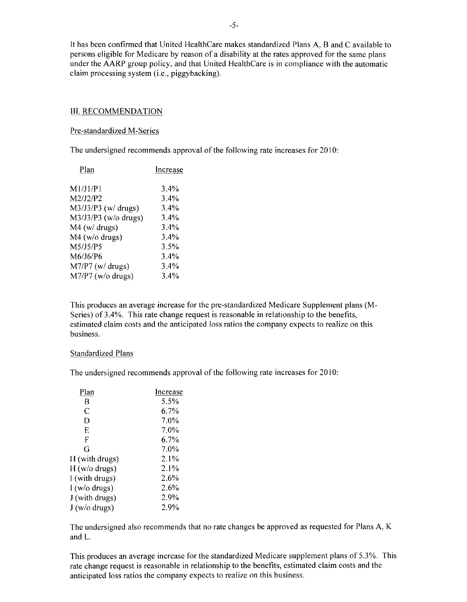It has been confirmed that United HealthCare makes standardized Plans A, Band C available to persons eligible for Medicare by reason of a disability at the rates approved for the same plans under the AARP group policy, and that United HealthCare is in compliance with the automatic claim processing system (i.e., piggybacking).

#### III. RECOMMENDATION

#### Pre-standardized M-Series

The undersigned recommends approval of the following rate increases for 2010:

| Plan                   | Increase |
|------------------------|----------|
| M1/J1/P1               | 3.4%     |
| M2/J2/P2               | 3.4%     |
| M3/J3/P3 (w/ drugs)    | 3.4%     |
| $M3/J3/P3$ (w/o drugs) | 3.4%     |
| $M4$ (w/ drugs)        | 3.4%     |
| $M4$ (w/o drugs)       | $3.4\%$  |
| M5/J5/P5               | 3.5%     |
| M6/J6/P6               | $3.4\%$  |
| $M7/P7$ (w/ drugs)     | 3.4%     |
| M7/P7 (w/o drugs)      | 3.4%     |
|                        |          |

This produces an average increase for the pre-standardized Medicare Supplement plans (M-Series) of 3.4%. This rate change request is reasonable in relationship to the benefits, estimated claim costs and the anticipated loss ratios the company expects to realize on this business.

#### Standardized Plans

The undersigned recommends approval of the following rate increases for 2010:

| Plan           | Increase |
|----------------|----------|
| B              | 5.5%     |
| C              | 6.7%     |
| D              | 7.0%     |
| E              | 7.0%     |
| F              | 6.7%     |
| G              | 7.0%     |
| H (with drugs) | $2.1\%$  |
| H (w/o drugs)  | 2.1%     |
| I (with drugs) | 2.6%     |
| I (w/o drugs)  | 2.6%     |
| J (with drugs) | 2.9%     |
| J (w/o drugs)  | 2.9%     |

The undersigned also recommends that no rate changes be approved as requested for Plans A, K and L.

This produces an average increase for the standardized Medicare supplement plans of 5.3%. This rate change request is reasonable in relationship to the benefits, estimated claim costs and the anticipated loss ratios the company expects to realize on this business.